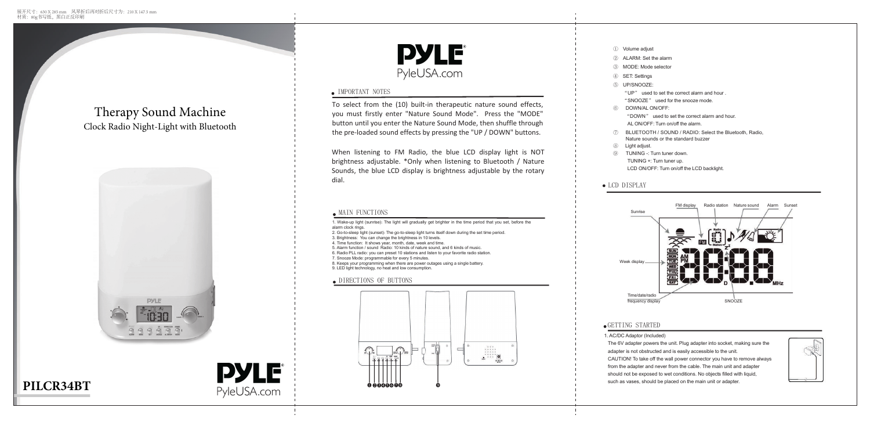## IMPORTANT NOTES

To select from the (10) built-in therapeutic nature sound effects, you must firstly enter "Nature Sound Mode". Press the "MODE" button until you enter the Nature Sound Mode, then shuffle through the pre-loaded sound effects by pressing the "UP / DOWN" buttons.

1. Wake-up light (sunrise): The light will gradually get brighter in the time period that you set, before the alarm clock rings.

2. Go-to-sleep light (sunset): The go-to-sleep light turns itself down during the set time period.

3. Brightness: You can change the brightness in 10 levels.

4. Time function: It shows year, month, date, week and time. 5. Alarm function / sound Radio: 10 kinds of nature sound, and 6 kinds of music.

6. Radio PLL radio: you can preset 10 stations and listen to your favorite radio station.

7. Snooze Mode: programmable for every 5 minutes.

8. Keeps your programming when there are power outages using a single battery. 9. LED light technology, no heat and low consumption.

## DIRECTIONS OF BUTTONS



# **DYLE** PyleUSA.com

- 
- 
- 
- 
- 
- 
- 
- 
- 
- ① Volume adjust
- ② ALARM: Set the alarm
- ③ MODE: Mode selector
- ④ SET: Settings
- ⑤ UP/SNOOZE:

"UP" used to set the correct alarm and hour .

"SNOOZE" used for the snooze mode.

⑥ 6DOWN/AL ON/OFF:

"DOWN" used to set the correct alarm and hour.

- AL ON/OFF: Turn on/off the alarm.
- ⑦ BLUETOOTH / SOUND / RADIO: Select the Bluetooth, Radio, Nature sounds or the standard buzzer
- ⑧ Light adjust.
- ⑨ TUNING -: Turn tuner down. TUNING +: Turn tuner up. LCD ON/OFF: Turn on/off the LCD backlight.

## • LCD DISPLAY

## GETTING STARTED



1. AC/DC Adaptor (Included)

The 6V adapter powers the unit. Plug adapter into socket, making sure the adapter is not obstructed and is easily accessible to the unit. CAUTION! To take off the wall power connector you have to remove always from the adapter and never from the cable. The main unit and adapter should not be exposed to wet conditions. No objects filled with liquid, such as vases, should be placed on the main unit or adapter.





## Therapy Sound Machine Clock Radio Night-Light with Bluetooth



# **PILCR34BT**





When listening to FM Radio, the blue LCD display light is NOT brightness adjustable. \*Only when listening to Bluetooth / Nature Sounds, the blue LCD display is brightness adjustable by the rotary dial.

## $\bullet$  MAIN FUNCTIONS